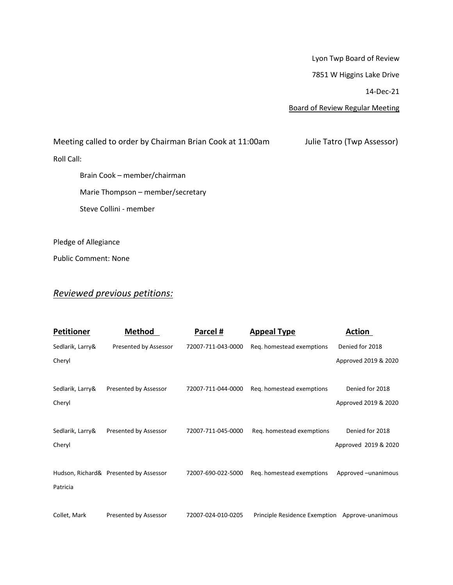Lyon Twp Board of Review

7851 W Higgins Lake Drive

14-Dec-21

Board of Review Regular Meeting

Meeting called to order by Chairman Brian Cook at 11:00am Julie Tatro (Twp Assessor) Roll Call: Brain Cook – member/chairman Marie Thompson – member/secretary Steve Collini - member

Pledge of Allegiance

Public Comment: None

## *Reviewed previous petitions:*

| <b>Petitioner</b>          | <b>Method</b>                          | Parcel #           | <b>Appeal Type</b>                              | <b>Action</b>                           |
|----------------------------|----------------------------------------|--------------------|-------------------------------------------------|-----------------------------------------|
| Sedlarik, Larry&           | Presented by Assessor                  | 72007-711-043-0000 | Reg. homestead exemptions                       | Denied for 2018                         |
| Cheryl                     |                                        |                    |                                                 | Approved 2019 & 2020                    |
| Sedlarik, Larry&<br>Cheryl | Presented by Assessor                  | 72007-711-044-0000 | Reg. homestead exemptions                       | Denied for 2018<br>Approved 2019 & 2020 |
| Sedlarik, Larry&           | Presented by Assessor                  | 72007-711-045-0000 | Reg. homestead exemptions                       | Denied for 2018                         |
| Cheryl                     |                                        |                    |                                                 | Approved 2019 & 2020                    |
| Patricia                   | Hudson, Richard& Presented by Assessor | 72007-690-022-5000 | Reg. homestead exemptions                       | Approved -unanimous                     |
| Collet, Mark               | Presented by Assessor                  | 72007-024-010-0205 | Principle Residence Exemption Approve-unanimous |                                         |